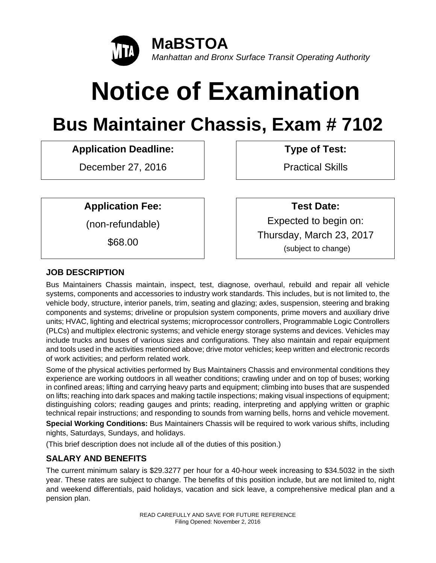

# **Notice of Examination**

# **Bus Maintainer Chassis, Exam # 7102**

# **Application Deadline: Type of Test:**

December 27, 2016 | Practical Skills

**Application Fee:** (non-refundable)

\$68.00

 **Test Date:**  Expected to begin on: Thursday, March 23, 2017 (subject to change)

# **JOB DESCRIPTION**

Bus Maintainers Chassis maintain, inspect, test, diagnose, overhaul, rebuild and repair all vehicle systems, components and accessories to industry work standards. This includes, but is not limited to, the vehicle body, structure, interior panels, trim, seating and glazing; axles, suspension, steering and braking components and systems; driveline or propulsion system components, prime movers and auxiliary drive units; HVAC, lighting and electrical systems; microprocessor controllers, Programmable Logic Controllers (PLCs) and multiplex electronic systems; and vehicle energy storage systems and devices. Vehicles may include trucks and buses of various sizes and configurations. They also maintain and repair equipment and tools used in the activities mentioned above; drive motor vehicles; keep written and electronic records of work activities; and perform related work.

Some of the physical activities performed by Bus Maintainers Chassis and environmental conditions they experience are working outdoors in all weather conditions; crawling under and on top of buses; working in confined areas; lifting and carrying heavy parts and equipment; climbing into buses that are suspended on lifts; reaching into dark spaces and making tactile inspections; making visual inspections of equipment; distinguishing colors; reading gauges and prints; reading, interpreting and applying written or graphic technical repair instructions; and responding to sounds from warning bells, horns and vehicle movement.

**Special Working Conditions:** Bus Maintainers Chassis will be required to work various shifts, including nights, Saturdays, Sundays, and holidays.

(This brief description does not include all of the duties of this position.)

# **SALARY AND BENEFITS**

The current minimum salary is \$29.3277 per hour for a 40-hour week increasing to \$34.5032 in the sixth year. These rates are subject to change. The benefits of this position include, but are not limited to, night and weekend differentials, paid holidays, vacation and sick leave, a comprehensive medical plan and a pension plan.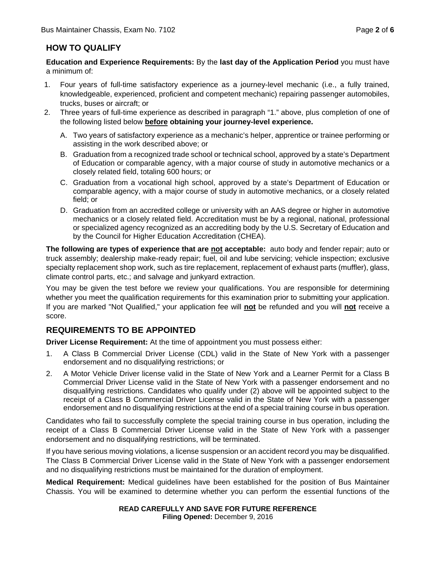# **HOW TO QUALIFY**

**Education and Experience Requirements:** By the **last day of the Application Period** you must have a minimum of:

- 1. Four years of full-time satisfactory experience as a journey-level mechanic (i.e., a fully trained, knowledgeable, experienced, proficient and competent mechanic) repairing passenger automobiles, trucks, buses or aircraft; or
- 2. Three years of full-time experience as described in paragraph "1." above, plus completion of one of the following listed below **before obtaining your journey-level experience.**
	- A. Two years of satisfactory experience as a mechanic's helper, apprentice or trainee performing or assisting in the work described above; or
	- B. Graduation from a recognized trade school or technical school, approved by a state's Department of Education or comparable agency, with a major course of study in automotive mechanics or a closely related field, totaling 600 hours; or
	- C. Graduation from a vocational high school, approved by a state's Department of Education or comparable agency, with a major course of study in automotive mechanics, or a closely related field; or
	- D. Graduation from an accredited college or university with an AAS degree or higher in automotive mechanics or a closely related field. Accreditation must be by a regional, national, professional or specialized agency recognized as an accrediting body by the U.S. Secretary of Education and by the Council for Higher Education Accreditation (CHEA).

**The following are types of experience that are not acceptable:** auto body and fender repair; auto or truck assembly; dealership make-ready repair; fuel, oil and lube servicing; vehicle inspection; exclusive specialty replacement shop work, such as tire replacement, replacement of exhaust parts (muffler), glass, climate control parts, etc.; and salvage and junkyard extraction.

You may be given the test before we review your qualifications. You are responsible for determining whether you meet the qualification requirements for this examination prior to submitting your application. If you are marked "Not Qualified," your application fee will **not** be refunded and you will **not** receive a score.

# **REQUIREMENTS TO BE APPOINTED**

**Driver License Requirement:** At the time of appointment you must possess either:

- 1. A Class B Commercial Driver License (CDL) valid in the State of New York with a passenger endorsement and no disqualifying restrictions; or
- 2. A Motor Vehicle Driver license valid in the State of New York and a Learner Permit for a Class B Commercial Driver License valid in the State of New York with a passenger endorsement and no disqualifying restrictions. Candidates who qualify under (2) above will be appointed subject to the receipt of a Class B Commercial Driver License valid in the State of New York with a passenger endorsement and no disqualifying restrictions at the end of a special training course in bus operation.

Candidates who fail to successfully complete the special training course in bus operation, including the receipt of a Class B Commercial Driver License valid in the State of New York with a passenger endorsement and no disqualifying restrictions, will be terminated.

If you have serious moving violations, a license suspension or an accident record you may be disqualified. The Class B Commercial Driver License valid in the State of New York with a passenger endorsement and no disqualifying restrictions must be maintained for the duration of employment.

**Medical Requirement:** Medical guidelines have been established for the position of Bus Maintainer Chassis. You will be examined to determine whether you can perform the essential functions of the

#### **READ CAREFULLY AND SAVE FOR FUTURE REFERENCE Filing Opened:** December 9, 2016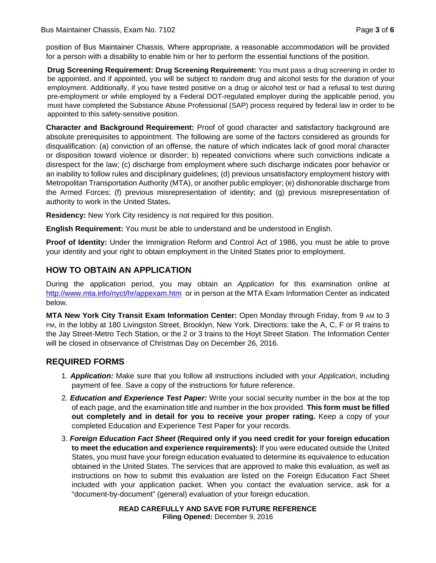position of Bus Maintainer Chassis. Where appropriate, a reasonable accommodation will be provided for a person with a disability to enable him or her to perform the essential functions of the position.

**Drug Screening Requirement: Drug Screening Requirement:** You must pass a drug screening in order to be appointed, and if appointed, you will be subject to random drug and alcohol tests for the duration of your employment. Additionally, if you have tested positive on a drug or alcohol test or had a refusal to test during pre-employment or while employed by a Federal DOT-regulated employer during the applicable period, you must have completed the Substance Abuse Professional (SAP) process required by federal law in order to be appointed to this safety-sensitive position.

**Character and Background Requirement:** Proof of good character and satisfactory background are absolute prerequisites to appointment. The following are some of the factors considered as grounds for disqualification: (a) conviction of an offense, the nature of which indicates lack of good moral character or disposition toward violence or disorder; b) repeated convictions where such convictions indicate a disrespect for the law; (c) discharge from employment where such discharge indicates poor behavior or an inability to follow rules and disciplinary guidelines; (d) previous unsatisfactory employment history with Metropolitan Transportation Authority (MTA), or another public employer; (e) dishonorable discharge from the Armed Forces; (f) previous misrepresentation of identity; and (g) previous misrepresentation of authority to work in the United States**.** 

**Residency:** New York City residency is not required for this position.

**English Requirement:** You must be able to understand and be understood in English.

**Proof of Identity:** Under the Immigration Reform and Control Act of 1986, you must be able to prove your identity and your right to obtain employment in the United States prior to employment.

# **HOW TO OBTAIN AN APPLICATION**

During the application period, you may obtain an *Application* for this examination online at http://www.mta.info/nyct/hr/appexam.htm or in person at the MTA Exam Information Center as indicated below.

**MTA New York City Transit Exam Information Center:** Open Monday through Friday, from 9 AM to 3 PM, in the lobby at 180 Livingston Street, Brooklyn, New York. Directions: take the A, C, F or R trains to the Jay Street-Metro Tech Station, or the 2 or 3 trains to the Hoyt Street Station. The Information Center will be closed in observance of Christmas Day on December 26, 2016.

# **REQUIRED FORMS**

- 1. *Application:* Make sure that you follow all instructions included with your *Application*, including payment of fee. Save a copy of the instructions for future reference.
- 2. *Education and Experience Test Paper:* Write your social security number in the box at the top of each page, and the examination title and number in the box provided. **This form must be filled out completely and in detail for you to receive your proper rating.** Keep a copy of your completed Education and Experience Test Paper for your records.
- 3. *Foreign Education Fact Sheet* **(Required only if you need credit for your foreign education to meet the education and experience requirements):** If you were educated outside the United States, you must have your foreign education evaluated to determine its equivalence to education obtained in the United States. The services that are approved to make this evaluation, as well as instructions on how to submit this evaluation are listed on the Foreign Education Fact Sheet included with your application packet. When you contact the evaluation service, ask for a "document-by-document" (general) evaluation of your foreign education.

**READ CAREFULLY AND SAVE FOR FUTURE REFERENCE Filing Opened:** December 9, 2016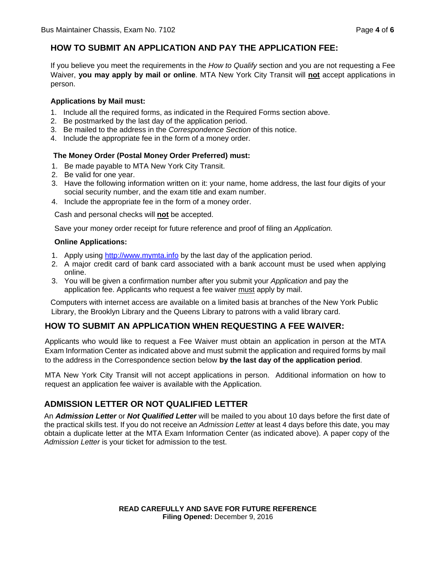If you believe you meet the requirements in the *How to Qualify* section and you are not requesting a Fee Waiver, **you may apply by mail or online**. MTA New York City Transit will **not** accept applications in person.

#### **Applications by Mail must:**

- 1. Include all the required forms, as indicated in the Required Forms section above.
- 2. Be postmarked by the last day of the application period.
- 3. Be mailed to the address in the *Correspondence Section* of this notice.
- 4. Include the appropriate fee in the form of a money order.

#### **The Money Order (Postal Money Order Preferred) must:**

- 1. Be made payable to MTA New York City Transit.
- 2. Be valid for one year.
- 3. Have the following information written on it: your name, home address, the last four digits of your social security number, and the exam title and exam number.
- 4. Include the appropriate fee in the form of a money order.

Cash and personal checks will **not** be accepted.

Save your money order receipt for future reference and proof of filing an *Application.*

#### **Online Applications:**

- 1. Apply using http://www.mymta.info by the last day of the application period.
- 2. A major credit card of bank card associated with a bank account must be used when applying online.
- 3. You will be given a confirmation number after you submit your *Application* and pay the application fee. Applicants who request a fee waiver must apply by mail.

Computers with internet access are available on a limited basis at branches of the New York Public Library, the Brooklyn Library and the Queens Library to patrons with a valid library card.

# **HOW TO SUBMIT AN APPLICATION WHEN REQUESTING A FEE WAIVER:**

Applicants who would like to request a Fee Waiver must obtain an application in person at the MTA Exam Information Center as indicated above and must submit the application and required forms by mail to the address in the Correspondence section below **by the last day of the application period**.

MTA New York City Transit will not accept applications in person. Additional information on how to request an application fee waiver is available with the Application.

# **ADMISSION LETTER OR NOT QUALIFIED LETTER**

An *Admission Letter* or *Not Qualified Letter* will be mailed to you about 10 days before the first date of the practical skills test. If you do not receive an *Admission Letter* at least 4 days before this date, you may obtain a duplicate letter at the MTA Exam Information Center (as indicated above). A paper copy of the *Admission Letter* is your ticket for admission to the test.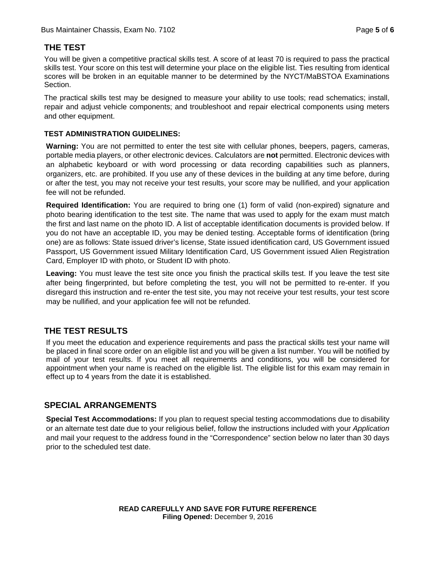# **THE TEST**

You will be given a competitive practical skills test. A score of at least 70 is required to pass the practical skills test. Your score on this test will determine your place on the eligible list. Ties resulting from identical scores will be broken in an equitable manner to be determined by the NYCT/MaBSTOA Examinations Section.

The practical skills test may be designed to measure your ability to use tools; read schematics; install, repair and adjust vehicle components; and troubleshoot and repair electrical components using meters and other equipment.

#### **TEST ADMINISTRATION GUIDELINES:**

**Warning:** You are not permitted to enter the test site with cellular phones, beepers, pagers, cameras, portable media players, or other electronic devices. Calculators are **not** permitted. Electronic devices with an alphabetic keyboard or with word processing or data recording capabilities such as planners, organizers, etc. are prohibited. If you use any of these devices in the building at any time before, during or after the test, you may not receive your test results, your score may be nullified, and your application fee will not be refunded.

**Required Identification:** You are required to bring one (1) form of valid (non-expired) signature and photo bearing identification to the test site. The name that was used to apply for the exam must match the first and last name on the photo ID. A list of acceptable identification documents is provided below. If you do not have an acceptable ID, you may be denied testing. Acceptable forms of identification (bring one) are as follows: State issued driver's license, State issued identification card, US Government issued Passport, US Government issued Military Identification Card, US Government issued Alien Registration Card, Employer ID with photo, or Student ID with photo.

**Leaving:** You must leave the test site once you finish the practical skills test. If you leave the test site after being fingerprinted, but before completing the test, you will not be permitted to re-enter. If you disregard this instruction and re-enter the test site, you may not receive your test results, your test score may be nullified, and your application fee will not be refunded.

# **THE TEST RESULTS**

If you meet the education and experience requirements and pass the practical skills test your name will be placed in final score order on an eligible list and you will be given a list number. You will be notified by mail of your test results. If you meet all requirements and conditions, you will be considered for appointment when your name is reached on the eligible list. The eligible list for this exam may remain in effect up to 4 years from the date it is established.

# **SPECIAL ARRANGEMENTS**

**Special Test Accommodations:** If you plan to request special testing accommodations due to disability or an alternate test date due to your religious belief, follow the instructions included with your *Application* and mail your request to the address found in the "Correspondence" section below no later than 30 days prior to the scheduled test date.